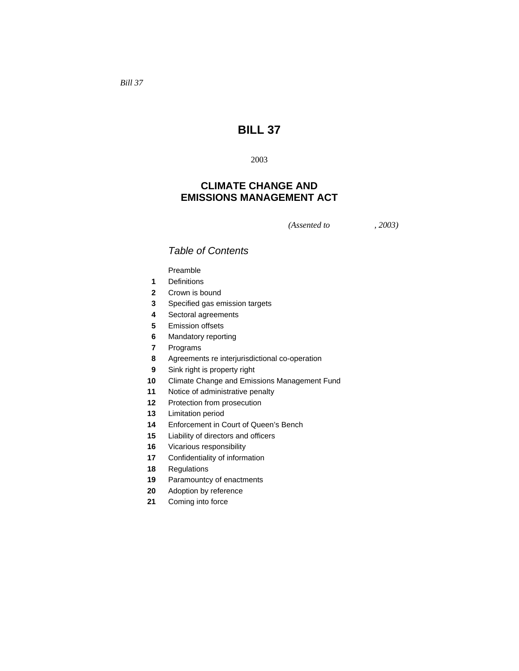# **BILL 37**

## **CLIMATE CHANGE AND EMISSIONS MANAGEMENT ACT**

*(Assented to , 2003)* 

## *Table of Contents*

Preamble

- Definitions
- Crown is bound
- Specified gas emission targets
- Sectoral agreements
- Emission offsets
- Mandatory reporting
- Programs
- Agreements re interjurisdictional co-operation
- Sink right is property right
- Climate Change and Emissions Management Fund
- Notice of administrative penalty
- Protection from prosecution
- Limitation period
- Enforcement in Court of Queen's Bench
- Liability of directors and officers
- Vicarious responsibility
- Confidentiality of information
- Regulations
- Paramountcy of enactments
- Adoption by reference
- Coming into force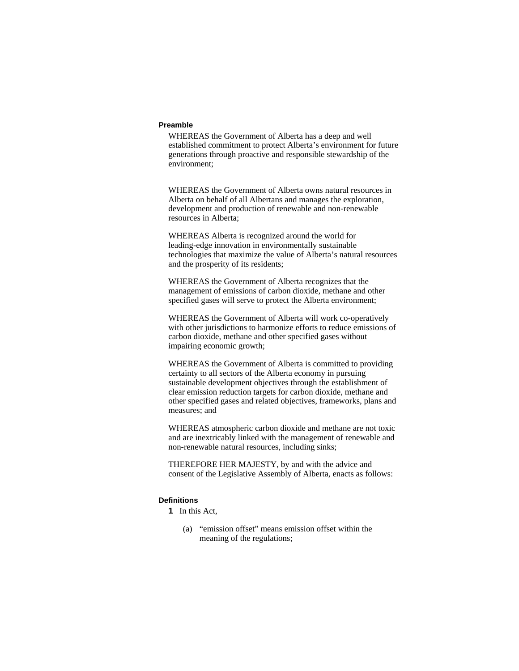#### **Preamble**

WHEREAS the Government of Alberta has a deep and well established commitment to protect Alberta's environment for future generations through proactive and responsible stewardship of the environment;

WHEREAS the Government of Alberta owns natural resources in Alberta on behalf of all Albertans and manages the exploration, development and production of renewable and non-renewable resources in Alberta;

WHEREAS Alberta is recognized around the world for leading-edge innovation in environmentally sustainable technologies that maximize the value of Alberta's natural resources and the prosperity of its residents;

WHEREAS the Government of Alberta recognizes that the management of emissions of carbon dioxide, methane and other specified gases will serve to protect the Alberta environment;

WHEREAS the Government of Alberta will work co-operatively with other jurisdictions to harmonize efforts to reduce emissions of carbon dioxide, methane and other specified gases without impairing economic growth;

WHEREAS the Government of Alberta is committed to providing certainty to all sectors of the Alberta economy in pursuing sustainable development objectives through the establishment of clear emission reduction targets for carbon dioxide, methane and other specified gases and related objectives, frameworks, plans and measures; and

WHEREAS atmospheric carbon dioxide and methane are not toxic and are inextricably linked with the management of renewable and non-renewable natural resources, including sinks;

THEREFORE HER MAJESTY, by and with the advice and consent of the Legislative Assembly of Alberta, enacts as follows:

#### **Definitions**

**1** In this Act,

 (a) "emission offset" means emission offset within the meaning of the regulations;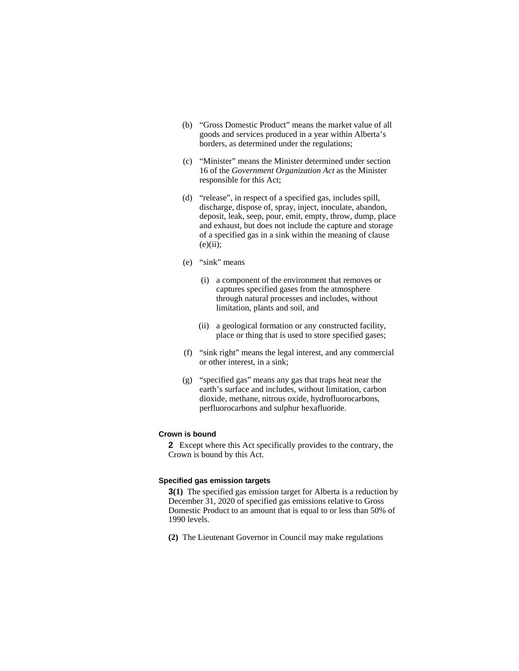- (b) "Gross Domestic Product" means the market value of all goods and services produced in a year within Alberta's borders, as determined under the regulations;
- (c) "Minister" means the Minister determined under section 16 of the *Government Organization Act* as the Minister responsible for this Act;
- (d) "release", in respect of a specified gas, includes spill, discharge, dispose of, spray, inject, inoculate, abandon, deposit, leak, seep, pour, emit, empty, throw, dump, place and exhaust, but does not include the capture and storage of a specified gas in a sink within the meaning of clause  $(e)(ii)$ ;
- (e) "sink" means
	- (i) a component of the environment that removes or captures specified gases from the atmosphere through natural processes and includes, without limitation, plants and soil, and
	- (ii) a geological formation or any constructed facility, place or thing that is used to store specified gases;
- (f) "sink right" means the legal interest, and any commercial or other interest, in a sink;
- (g) "specified gas" means any gas that traps heat near the earth's surface and includes, without limitation, carbon dioxide, methane, nitrous oxide, hydrofluorocarbons, perfluorocarbons and sulphur hexafluoride.

## **Crown is bound**

**2** Except where this Act specifically provides to the contrary, the Crown is bound by this Act.

#### **Specified gas emission targets**

**3(1)** The specified gas emission target for Alberta is a reduction by December 31, 2020 of specified gas emissions relative to Gross Domestic Product to an amount that is equal to or less than 50% of 1990 levels.

**(2)** The Lieutenant Governor in Council may make regulations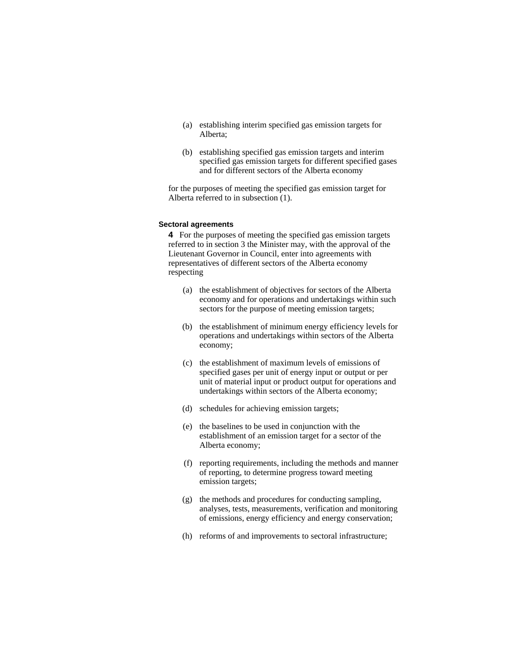- (a) establishing interim specified gas emission targets for Alberta;
- (b) establishing specified gas emission targets and interim specified gas emission targets for different specified gases and for different sectors of the Alberta economy

for the purposes of meeting the specified gas emission target for Alberta referred to in subsection (1).

## **Sectoral agreements**

**4** For the purposes of meeting the specified gas emission targets referred to in section 3 the Minister may, with the approval of the Lieutenant Governor in Council, enter into agreements with representatives of different sectors of the Alberta economy respecting

- (a) the establishment of objectives for sectors of the Alberta economy and for operations and undertakings within such sectors for the purpose of meeting emission targets;
- (b) the establishment of minimum energy efficiency levels for operations and undertakings within sectors of the Alberta economy;
- (c) the establishment of maximum levels of emissions of specified gases per unit of energy input or output or per unit of material input or product output for operations and undertakings within sectors of the Alberta economy;
- (d) schedules for achieving emission targets;
- (e) the baselines to be used in conjunction with the establishment of an emission target for a sector of the Alberta economy;
- (f) reporting requirements, including the methods and manner of reporting, to determine progress toward meeting emission targets;
- (g) the methods and procedures for conducting sampling, analyses, tests, measurements, verification and monitoring of emissions, energy efficiency and energy conservation;
- (h) reforms of and improvements to sectoral infrastructure;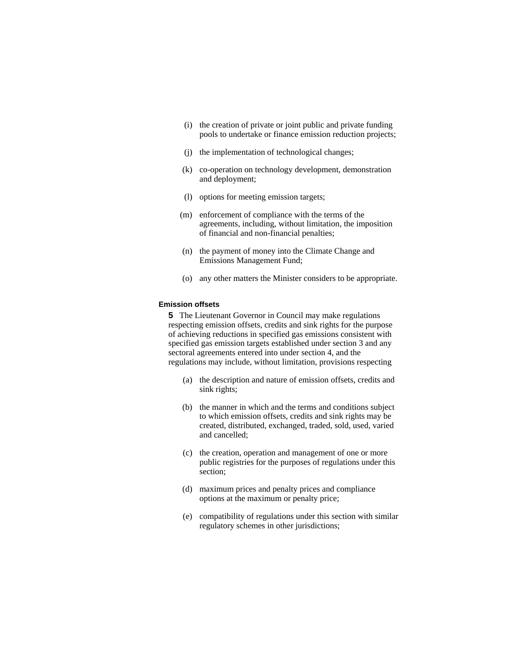- (i) the creation of private or joint public and private funding pools to undertake or finance emission reduction projects;
- (j) the implementation of technological changes;
- (k) co-operation on technology development, demonstration and deployment;
- (l) options for meeting emission targets;
- (m) enforcement of compliance with the terms of the agreements, including, without limitation, the imposition of financial and non-financial penalties;
- (n) the payment of money into the Climate Change and Emissions Management Fund;
- (o) any other matters the Minister considers to be appropriate.

#### **Emission offsets**

**5** The Lieutenant Governor in Council may make regulations respecting emission offsets, credits and sink rights for the purpose of achieving reductions in specified gas emissions consistent with specified gas emission targets established under section 3 and any sectoral agreements entered into under section 4, and the regulations may include, without limitation, provisions respecting

- (a) the description and nature of emission offsets, credits and sink rights;
- (b) the manner in which and the terms and conditions subject to which emission offsets, credits and sink rights may be created, distributed, exchanged, traded, sold, used, varied and cancelled;
- (c) the creation, operation and management of one or more public registries for the purposes of regulations under this section;
- (d) maximum prices and penalty prices and compliance options at the maximum or penalty price;
- (e) compatibility of regulations under this section with similar regulatory schemes in other jurisdictions;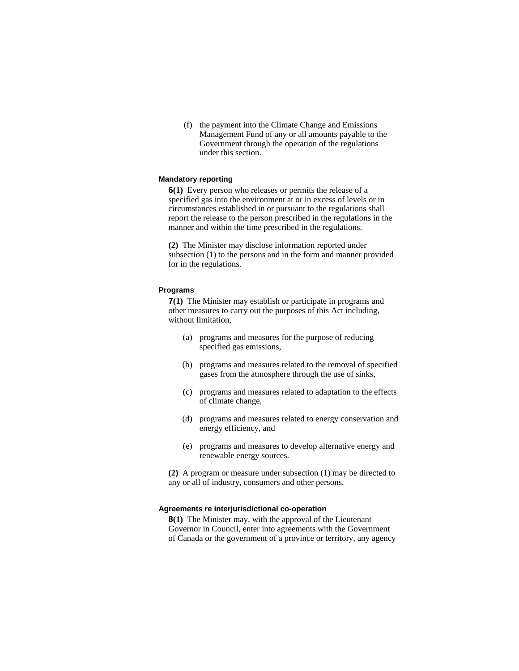(f) the payment into the Climate Change and Emissions Management Fund of any or all amounts payable to the Government through the operation of the regulations under this section.

#### **Mandatory reporting**

**6(1)** Every person who releases or permits the release of a specified gas into the environment at or in excess of levels or in circumstances established in or pursuant to the regulations shall report the release to the person prescribed in the regulations in the manner and within the time prescribed in the regulations.

**(2)** The Minister may disclose information reported under subsection (1) to the persons and in the form and manner provided for in the regulations.

#### **Programs**

**7(1)** The Minister may establish or participate in programs and other measures to carry out the purposes of this Act including, without limitation,

- (a) programs and measures for the purpose of reducing specified gas emissions,
- (b) programs and measures related to the removal of specified gases from the atmosphere through the use of sinks,
- (c) programs and measures related to adaptation to the effects of climate change,
- (d) programs and measures related to energy conservation and energy efficiency, and
- (e) programs and measures to develop alternative energy and renewable energy sources.

**(2)** A program or measure under subsection (1) may be directed to any or all of industry, consumers and other persons.

#### **Agreements re interjurisdictional co-operation**

**8(1)** The Minister may, with the approval of the Lieutenant Governor in Council, enter into agreements with the Government of Canada or the government of a province or territory, any agency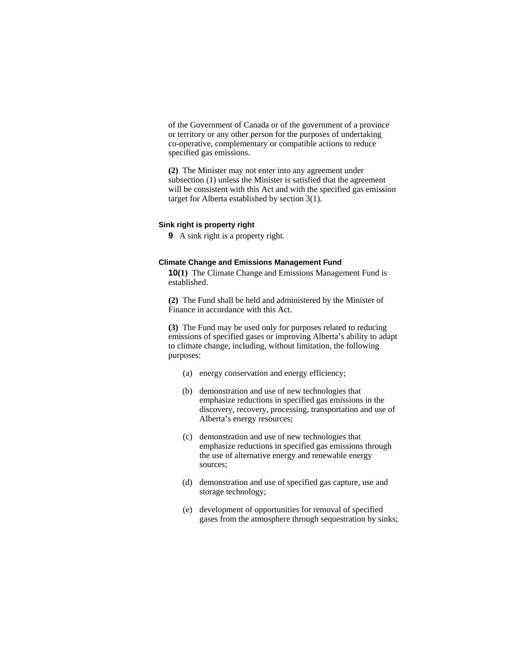of the Government of Canada or of the government of a province or territory or any other person for the purposes of undertaking co-operative, complementary or compatible actions to reduce specified gas emissions.

**(2)** The Minister may not enter into any agreement under subsection (1) unless the Minister is satisfied that the agreement will be consistent with this Act and with the specified gas emission target for Alberta established by section 3(1).

## **Sink right is property right**

**9** A sink right is a property right.

#### **Climate Change and Emissions Management Fund**

**10(1)** The Climate Change and Emissions Management Fund is established.

**(2)** The Fund shall be held and administered by the Minister of Finance in accordance with this Act.

**(3)** The Fund may be used only for purposes related to reducing emissions of specified gases or improving Alberta's ability to adapt to climate change, including, without limitation, the following purposes:

- (a) energy conservation and energy efficiency;
- (b) demonstration and use of new technologies that emphasize reductions in specified gas emissions in the discovery, recovery, processing, transportation and use of Alberta's energy resources;
- (c) demonstration and use of new technologies that emphasize reductions in specified gas emissions through the use of alternative energy and renewable energy sources;
- (d) demonstration and use of specified gas capture, use and storage technology;
- (e) development of opportunities for removal of specified gases from the atmosphere through sequestration by sinks;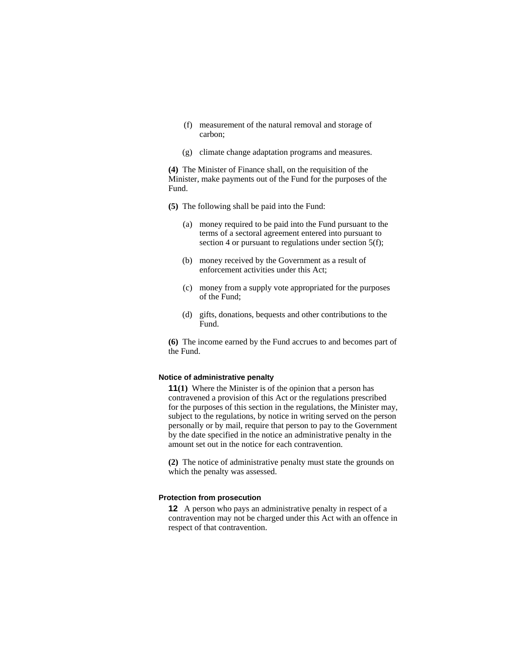- (f) measurement of the natural removal and storage of carbon;
- (g) climate change adaptation programs and measures.

**(4)** The Minister of Finance shall, on the requisition of the Minister, make payments out of the Fund for the purposes of the Fund.

- **(5)** The following shall be paid into the Fund:
	- (a) money required to be paid into the Fund pursuant to the terms of a sectoral agreement entered into pursuant to section 4 or pursuant to regulations under section 5(f);
	- (b) money received by the Government as a result of enforcement activities under this Act;
	- (c) money from a supply vote appropriated for the purposes of the Fund;
	- (d) gifts, donations, bequests and other contributions to the Fund.

**(6)** The income earned by the Fund accrues to and becomes part of the Fund.

#### **Notice of administrative penalty**

**11(1)** Where the Minister is of the opinion that a person has contravened a provision of this Act or the regulations prescribed for the purposes of this section in the regulations, the Minister may, subject to the regulations, by notice in writing served on the person personally or by mail, require that person to pay to the Government by the date specified in the notice an administrative penalty in the amount set out in the notice for each contravention.

**(2)** The notice of administrative penalty must state the grounds on which the penalty was assessed.

## **Protection from prosecution**

**12** A person who pays an administrative penalty in respect of a contravention may not be charged under this Act with an offence in respect of that contravention.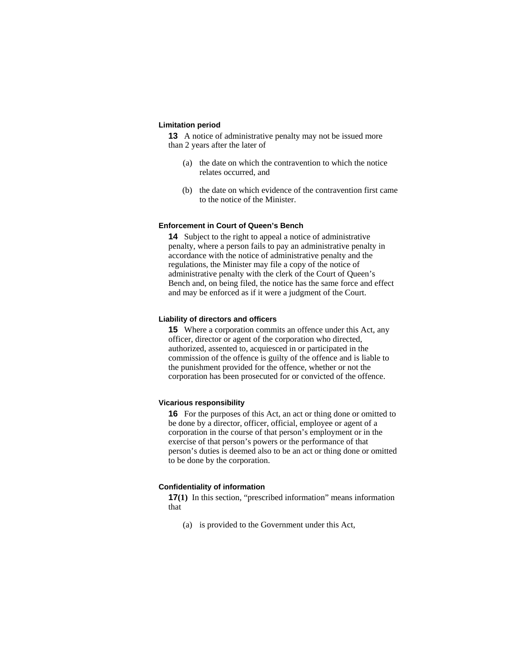#### **Limitation period**

**13** A notice of administrative penalty may not be issued more than 2 years after the later of

- (a) the date on which the contravention to which the notice relates occurred, and
- (b) the date on which evidence of the contravention first came to the notice of the Minister.

#### **Enforcement in Court of Queen's Bench**

**14** Subject to the right to appeal a notice of administrative penalty, where a person fails to pay an administrative penalty in accordance with the notice of administrative penalty and the regulations, the Minister may file a copy of the notice of administrative penalty with the clerk of the Court of Queen's Bench and, on being filed, the notice has the same force and effect and may be enforced as if it were a judgment of the Court.

#### **Liability of directors and officers**

**15** Where a corporation commits an offence under this Act, any officer, director or agent of the corporation who directed, authorized, assented to, acquiesced in or participated in the commission of the offence is guilty of the offence and is liable to the punishment provided for the offence, whether or not the corporation has been prosecuted for or convicted of the offence.

#### **Vicarious responsibility**

**16** For the purposes of this Act, an act or thing done or omitted to be done by a director, officer, official, employee or agent of a corporation in the course of that person's employment or in the exercise of that person's powers or the performance of that person's duties is deemed also to be an act or thing done or omitted to be done by the corporation.

#### **Confidentiality of information**

**17(1)** In this section, "prescribed information" means information that

(a) is provided to the Government under this Act,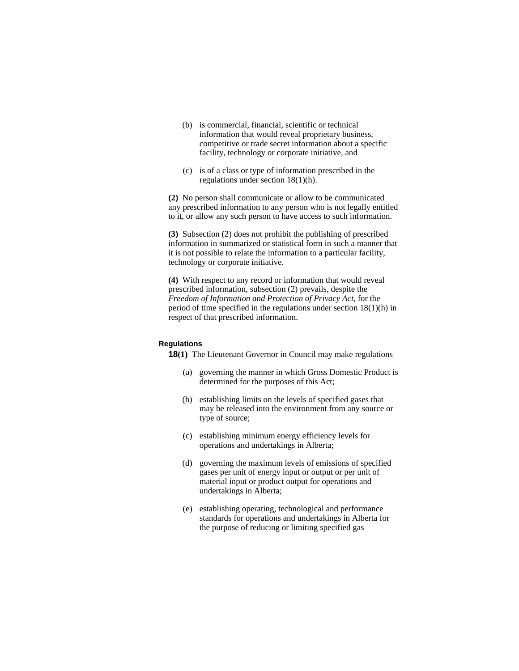- (b) is commercial, financial, scientific or technical information that would reveal proprietary business, competitive or trade secret information about a specific facility, technology or corporate initiative, and
- (c) is of a class or type of information prescribed in the regulations under section 18(1)(h).

**(2)** No person shall communicate or allow to be communicated any prescribed information to any person who is not legally entitled to it, or allow any such person to have access to such information.

**(3)** Subsection (2) does not prohibit the publishing of prescribed information in summarized or statistical form in such a manner that it is not possible to relate the information to a particular facility, technology or corporate initiative.

**(4)** With respect to any record or information that would reveal prescribed information, subsection (2) prevails, despite the *Freedom of Information and Protection of Privacy Act*, for the period of time specified in the regulations under section 18(1)(h) in respect of that prescribed information.

## **Regulations**

**18(1)** The Lieutenant Governor in Council may make regulations

- (a) governing the manner in which Gross Domestic Product is determined for the purposes of this Act;
- (b) establishing limits on the levels of specified gases that may be released into the environment from any source or type of source;
- (c) establishing minimum energy efficiency levels for operations and undertakings in Alberta;
- (d) governing the maximum levels of emissions of specified gases per unit of energy input or output or per unit of material input or product output for operations and undertakings in Alberta;
- (e) establishing operating, technological and performance standards for operations and undertakings in Alberta for the purpose of reducing or limiting specified gas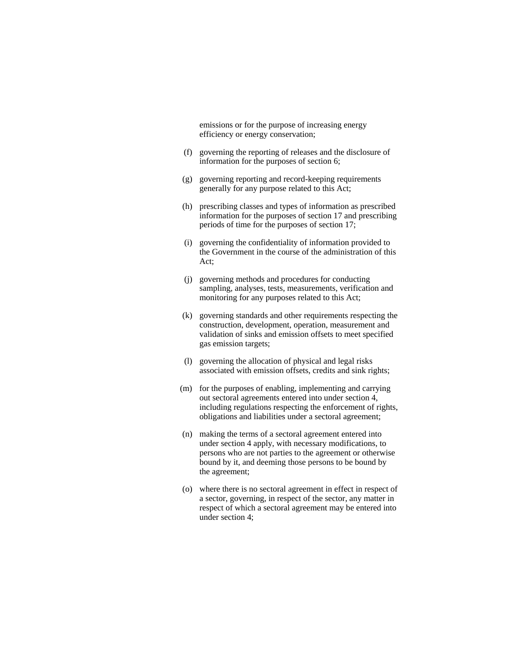emissions or for the purpose of increasing energy efficiency or energy conservation;

- (f) governing the reporting of releases and the disclosure of information for the purposes of section 6;
- (g) governing reporting and record-keeping requirements generally for any purpose related to this Act;
- (h) prescribing classes and types of information as prescribed information for the purposes of section 17 and prescribing periods of time for the purposes of section 17;
- (i) governing the confidentiality of information provided to the Government in the course of the administration of this Act;
- (j) governing methods and procedures for conducting sampling, analyses, tests, measurements, verification and monitoring for any purposes related to this Act;
- (k) governing standards and other requirements respecting the construction, development, operation, measurement and validation of sinks and emission offsets to meet specified gas emission targets;
- (l) governing the allocation of physical and legal risks associated with emission offsets, credits and sink rights;
- (m) for the purposes of enabling, implementing and carrying out sectoral agreements entered into under section 4, including regulations respecting the enforcement of rights, obligations and liabilities under a sectoral agreement;
- (n) making the terms of a sectoral agreement entered into under section 4 apply, with necessary modifications, to persons who are not parties to the agreement or otherwise bound by it, and deeming those persons to be bound by the agreement;
- (o) where there is no sectoral agreement in effect in respect of a sector, governing, in respect of the sector, any matter in respect of which a sectoral agreement may be entered into under section 4;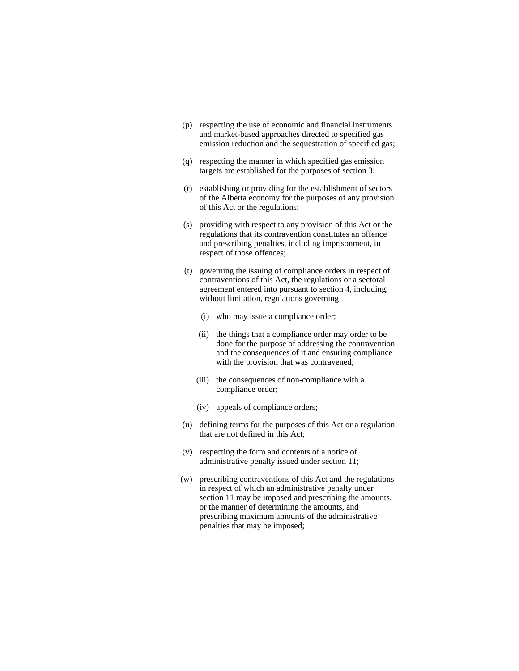- (p) respecting the use of economic and financial instruments and market-based approaches directed to specified gas emission reduction and the sequestration of specified gas;
- (q) respecting the manner in which specified gas emission targets are established for the purposes of section 3;
- (r) establishing or providing for the establishment of sectors of the Alberta economy for the purposes of any provision of this Act or the regulations;
- (s) providing with respect to any provision of this Act or the regulations that its contravention constitutes an offence and prescribing penalties, including imprisonment, in respect of those offences;
- (t) governing the issuing of compliance orders in respect of contraventions of this Act, the regulations or a sectoral agreement entered into pursuant to section 4, including, without limitation, regulations governing
	- (i) who may issue a compliance order;
	- (ii) the things that a compliance order may order to be done for the purpose of addressing the contravention and the consequences of it and ensuring compliance with the provision that was contravened;
	- (iii) the consequences of non-compliance with a compliance order;
	- (iv) appeals of compliance orders;
- (u) defining terms for the purposes of this Act or a regulation that are not defined in this Act;
- (v) respecting the form and contents of a notice of administrative penalty issued under section 11;
- (w) prescribing contraventions of this Act and the regulations in respect of which an administrative penalty under section 11 may be imposed and prescribing the amounts, or the manner of determining the amounts, and prescribing maximum amounts of the administrative penalties that may be imposed;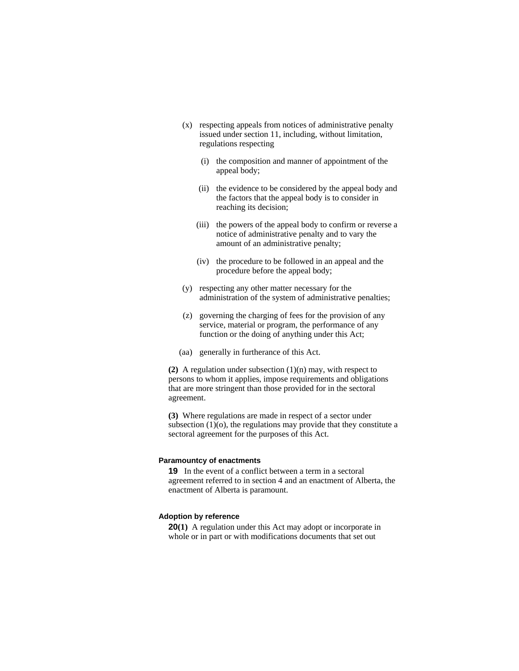- (x) respecting appeals from notices of administrative penalty issued under section 11, including, without limitation, regulations respecting
	- (i) the composition and manner of appointment of the appeal body;
	- (ii) the evidence to be considered by the appeal body and the factors that the appeal body is to consider in reaching its decision;
	- (iii) the powers of the appeal body to confirm or reverse a notice of administrative penalty and to vary the amount of an administrative penalty;
	- (iv) the procedure to be followed in an appeal and the procedure before the appeal body;
- (y) respecting any other matter necessary for the administration of the system of administrative penalties;
- (z) governing the charging of fees for the provision of any service, material or program, the performance of any function or the doing of anything under this Act;
- (aa) generally in furtherance of this Act.

**(2)** A regulation under subsection (1)(n) may, with respect to persons to whom it applies, impose requirements and obligations that are more stringent than those provided for in the sectoral agreement.

**(3)** Where regulations are made in respect of a sector under subsection  $(1)(o)$ , the regulations may provide that they constitute a sectoral agreement for the purposes of this Act.

#### **Paramountcy of enactments**

**19** In the event of a conflict between a term in a sectoral agreement referred to in section 4 and an enactment of Alberta, the enactment of Alberta is paramount.

#### **Adoption by reference**

**20(1)** A regulation under this Act may adopt or incorporate in whole or in part or with modifications documents that set out